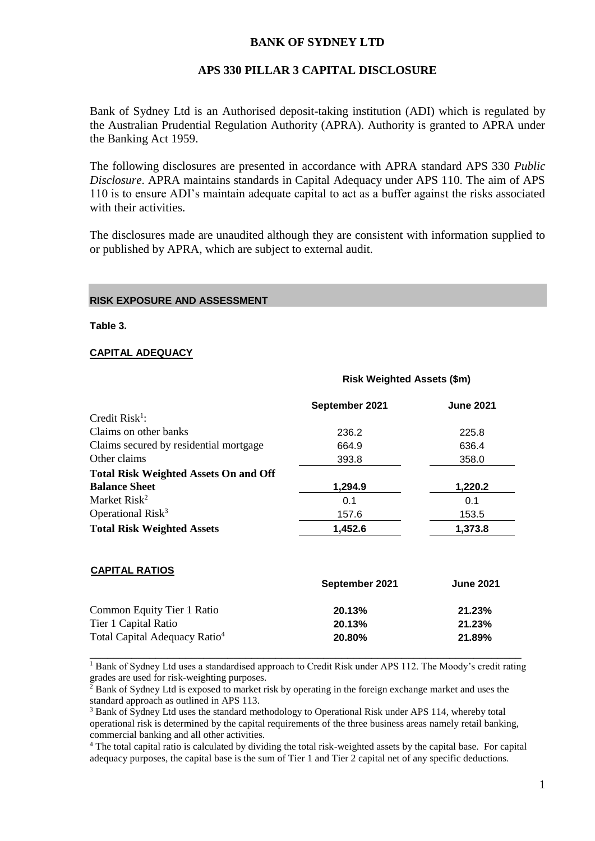## **BANK OF SYDNEY LTD**

### **APS 330 PILLAR 3 CAPITAL DISCLOSURE**

Bank of Sydney Ltd is an Authorised deposit-taking institution (ADI) which is regulated by the Australian Prudential Regulation Authority (APRA). Authority is granted to APRA under the Banking Act 1959.

The following disclosures are presented in accordance with APRA standard APS 330 *Public Disclosure*. APRA maintains standards in Capital Adequacy under APS 110. The aim of APS 110 is to ensure ADI's maintain adequate capital to act as a buffer against the risks associated with their activities.

The disclosures made are unaudited although they are consistent with information supplied to or published by APRA, which are subject to external audit.

**Risk Weighted Assets (\$m)**

#### **RISK EXPOSURE AND ASSESSMENT**

**Table 3.**

#### **CAPITAL ADEQUACY**

**CAPITAL RATIOS**

#### **September 2021 June 2021**  Credit Risk<sup>1</sup>: Claims on other banks 236.2 225.8 Claims secured by residential mortgage 664.9 636.4 Other claims 393.8 358.0 **Total Risk Weighted Assets On and Off Balance Sheet 1,294.9 1,220.2** Market Risk<sup>2</sup> 0.1 0.1 Operational Risk<sup>3</sup> 157.6 153.5 **Total Risk Weighted Assets 1,452.6 1,373.8**

| 20.13% | 21.23% |
|--------|--------|
| 20.13% | 21.23% |
| 20.80% | 21.89% |
|        |        |

<sup>1</sup> Bank of Sydney Ltd uses a standardised approach to Credit Risk under APS 112. The Moody's credit rating grades are used for risk-weighting purposes.

<sup>2</sup> Bank of Sydney Ltd is exposed to market risk by operating in the foreign exchange market and uses the standard approach as outlined in APS 113.

<sup>3</sup> Bank of Sydney Ltd uses the standard methodology to Operational Risk under APS 114, whereby total operational risk is determined by the capital requirements of the three business areas namely retail banking, commercial banking and all other activities.

<sup>4</sup> The total capital ratio is calculated by dividing the total risk-weighted assets by the capital base. For capital adequacy purposes, the capital base is the sum of Tier 1 and Tier 2 capital net of any specific deductions.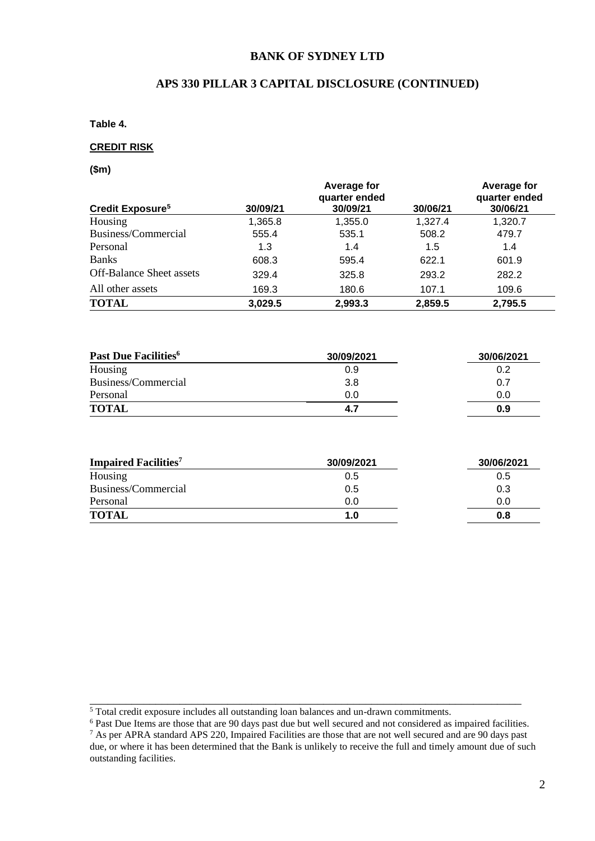### **BANK OF SYDNEY LTD**

# **APS 330 PILLAR 3 CAPITAL DISCLOSURE (CONTINUED)**

**Table 4.** 

#### **CREDIT RISK**

**(\$m)**

|                                 |          | Average for<br>quarter ended |          | Average for<br>quarter ended |
|---------------------------------|----------|------------------------------|----------|------------------------------|
| Credit Exposure <sup>5</sup>    | 30/09/21 | 30/09/21                     | 30/06/21 | 30/06/21                     |
| Housing                         | 1,365.8  | 1,355.0                      | 1,327.4  | 1,320.7                      |
| Business/Commercial             | 555.4    | 535.1                        | 508.2    | 479.7                        |
| Personal                        | 1.3      | 1.4                          | 1.5      | 1.4                          |
| <b>Banks</b>                    | 608.3    | 595.4                        | 622.1    | 601.9                        |
| <b>Off-Balance Sheet assets</b> | 329.4    | 325.8                        | 293.2    | 282.2                        |
| All other assets                | 169.3    | 180.6                        | 107.1    | 109.6                        |
| <b>TOTAL</b>                    | 3,029.5  | 2,993.3                      | 2,859.5  | 2,795.5                      |

| Past Due Facilities <sup>6</sup> | 30/09/2021 | 30/06/2021 |
|----------------------------------|------------|------------|
| Housing                          | 0.9        | 0.2        |
| Business/Commercial              | 3.8        | 0.7        |
| Personal                         | 0.0        | 0.0        |
| <b>TOTAL</b>                     | 4.7        | 0.9        |

| <b>Impaired Facilities</b> <sup>7</sup> | 30/09/2021 | 30/06/2021 |
|-----------------------------------------|------------|------------|
| Housing                                 | 0.5        | 0.5        |
| Business/Commercial                     | 0.5        | 0.3        |
| Personal                                | 0.0        | 0.0        |
| <b>TOTAL</b>                            | 1.0        | 0.8        |

\_\_\_\_\_\_\_\_\_\_\_\_\_\_\_\_\_\_\_\_\_\_\_\_\_\_\_\_\_\_\_\_\_\_\_\_\_\_\_\_\_\_\_\_\_\_\_\_\_\_\_\_\_\_\_\_\_\_\_\_\_\_\_\_\_\_\_\_\_\_\_\_

<sup>&</sup>lt;sup>5</sup> Total credit exposure includes all outstanding loan balances and un-drawn commitments.

<sup>&</sup>lt;sup>6</sup> Past Due Items are those that are 90 days past due but well secured and not considered as impaired facilities.

 $7$  As per APRA standard APS 220, Impaired Facilities are those that are not well secured and are 90 days past due, or where it has been determined that the Bank is unlikely to receive the full and timely amount due of such outstanding facilities.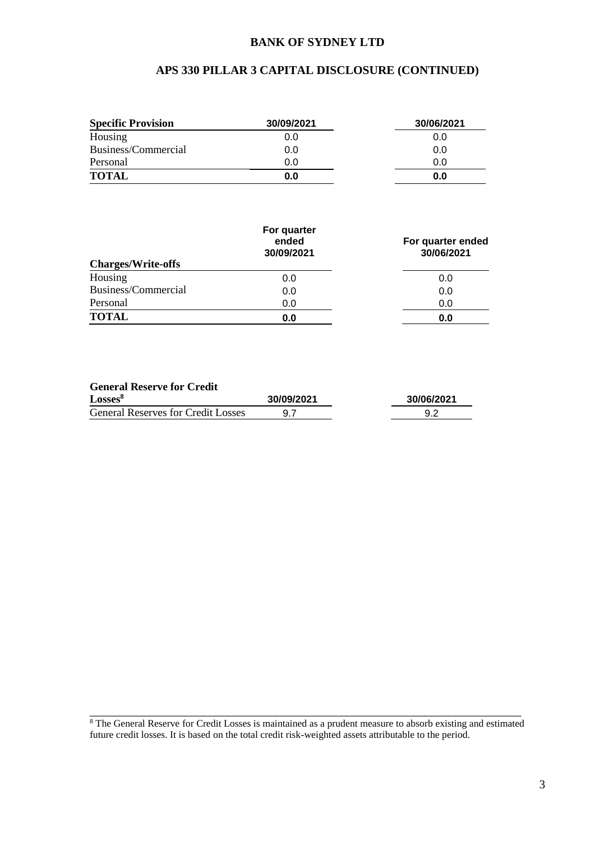### **BANK OF SYDNEY LTD**

# **APS 330 PILLAR 3 CAPITAL DISCLOSURE (CONTINUED)**

| <b>Specific Provision</b> | 30/09/2021 | 30/06/2021 |
|---------------------------|------------|------------|
| Housing                   | 0.0        | 0.0        |
| Business/Commercial       | 0.0        | 0.0        |
| Personal                  | 0.0        | 0.0        |
| <b>TOTAL</b>              | 0.0        | 0.0        |

| <b>Charges/Write-offs</b> | For quarter<br>ended<br>30/09/2021 | For quarter ended<br>30/06/2021 |
|---------------------------|------------------------------------|---------------------------------|
| Housing                   | 0.0                                | 0.0                             |
| Business/Commercial       | 0.0                                | 0.0                             |
| Personal                  | 0.0                                | 0.0                             |
| <b>TOTAL</b>              | 0.0                                | 0.0                             |

#### **General Reserve for Credit**

| Losses <sup>8</sup>                       | 30/09/2021 | 30/06/2021 |
|-------------------------------------------|------------|------------|
| <b>General Reserves for Credit Losses</b> |            |            |

\_\_\_\_\_\_\_\_\_\_\_\_\_\_\_\_\_\_\_\_\_\_\_\_\_\_\_\_\_\_\_\_\_\_\_\_\_\_\_\_\_\_\_\_\_\_\_\_\_\_\_\_\_\_\_\_\_\_\_\_\_\_\_\_\_\_\_\_\_\_\_\_ <sup>8</sup> The General Reserve for Credit Losses is maintained as a prudent measure to absorb existing and estimated future credit losses. It is based on the total credit risk-weighted assets attributable to the period.